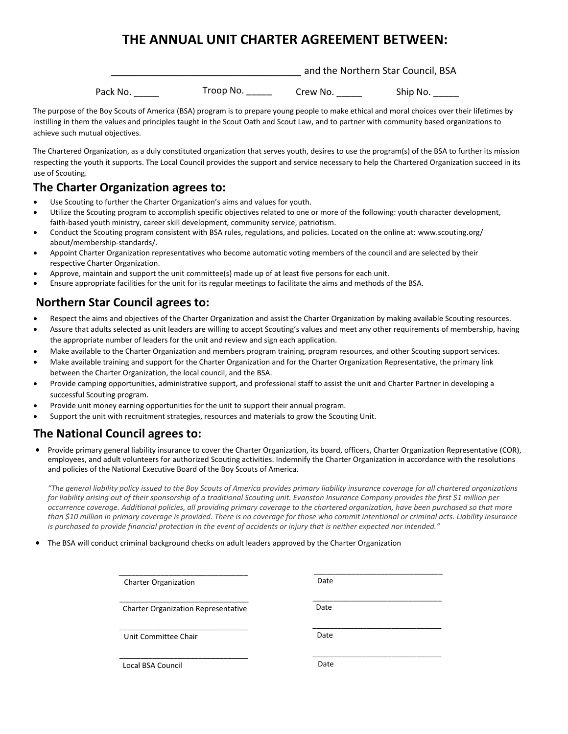# **THE ANNUAL UNIT CHARTER AGREEMENT BETWEEN:**

|          |           | and the Northern Star Council, BSA |          |
|----------|-----------|------------------------------------|----------|
| Pack No. | Troop No. | Crew No.                           | Ship No. |

The purpose of the Boy Scouts of America (BSA) program is to prepare young people to make ethical and moral choices over their lifetimes by instilling in them the values and principles taught in the Scout Oath and Scout Law, and to partner with community based organizations to achieve such mutual objectives.

The Chartered Organization, as a duly constituted organization that serves youth, desires to use the program(s) of the BSA to further its mission respecting the youth it supports. The Local Council provides the support and service necessary to help the Chartered Organization succeed in its use of Scouting.

## **The Charter Organization agrees to:**

- Use Scouting to further the Charter Organization's aims and values for youth.
- Utilize the Scouting program to accomplish specific objectives related to one or more of the following: youth character development, faith-based youth ministry, career skill development, community service, patriotism.
- Conduct the Scouting program consistent with BSA rules, regulations, and policies. Located on the online at: www.scouting.org/ about/membership-standards/.
- Appoint Charter Organization representatives who become automatic voting members of the council and are selected by their respective Charter Organization.
- Approve, maintain and support the unit committee(s) made up of at least five persons for each unit.
- Ensure appropriate facilities for the unit for its regular meetings to facilitate the aims and methods of the BSA.

### **Northern Star Council agrees to:**

- Respect the aims and objectives of the Charter Organization and assist the Charter Organization by making available Scouting resources.
- Assure that adults selected as unit leaders are willing to accept Scouting's values and meet any other requirements of membership, having the appropriate number of leaders for the unit and review and sign each application.
- Make available to the Charter Organization and members program training, program resources, and other Scouting support services.
- Make available training and support for the Charter Organization and for the Charter Organization Representative, the primary link between the Charter Organization, the local council, and the BSA.
- Provide camping opportunities, administrative support, and professional staff to assist the unit and Charter Partner in developing a successful Scouting program.
- Provide unit money earning opportunities for the unit to support their annual program.
- Support the unit with recruitment strategies, resources and materials to grow the Scouting Unit.

## **The National Council agrees to:**

• Provide primary general liability insurance to cover the Charter Organization, its board, officers, Charter Organization Representative (COR), employees, and adult volunteers for authorized Scouting activities. Indemnify the Charter Organization in accordance with the resolutions and policies of the National Executive Board of the Boy Scouts of America.

*"The general liability policy issued to the Boy Scouts of America provides primary liability insurance coverage for all chartered organizations for liability arising out of their sponsorship of a traditional Scouting unit. Evanston Insurance Company provides the first \$1 million per occurrence coverage. Additional policies, all providing primary coverage to the chartered organization, have been purchased so that more [than \\$10 million in primary coverage is provided. There](http://www.scouting.org/about/membership-standards/) is no coverage for those who commit intentional or criminal acts. Liability insurance is purchased to provide financial protection in the event of accidents or injury that is neither expected nor intended."*

• The BSA will conduct criminal background checks on adult leaders approved by the Charter Organization

Charter Organization Charter Organization Representative Unit Committee Chair Local BSA Council \_\_\_\_\_\_\_\_\_\_\_\_\_\_\_\_\_\_\_\_\_\_\_\_\_\_\_\_\_\_\_ \_\_\_\_\_\_\_\_\_\_\_\_\_\_\_\_\_\_\_\_\_\_\_\_\_\_\_\_\_\_\_ \_\_\_\_\_\_\_\_\_\_\_\_\_\_\_\_\_\_\_\_\_\_\_\_\_\_\_\_\_\_\_ \_\_\_\_\_\_\_\_\_\_\_\_\_\_\_\_\_\_\_\_\_\_\_\_\_\_\_\_\_\_\_ Date Date Date Date \_\_\_\_\_\_\_\_\_\_\_\_\_\_\_\_\_\_\_\_\_\_\_\_\_\_\_\_\_\_\_  $\overline{\phantom{a}}$  , where the contract of the contract of the contract of the contract of the contract of the contract of the contract of the contract of the contract of the contract of the contract of the contract of the contr \_\_\_\_\_\_\_\_\_\_\_\_\_\_\_\_\_\_\_\_\_\_\_\_\_\_\_\_\_\_\_ \_\_\_\_\_\_\_\_\_\_\_\_\_\_\_\_\_\_\_\_\_\_\_\_\_\_\_\_\_\_\_